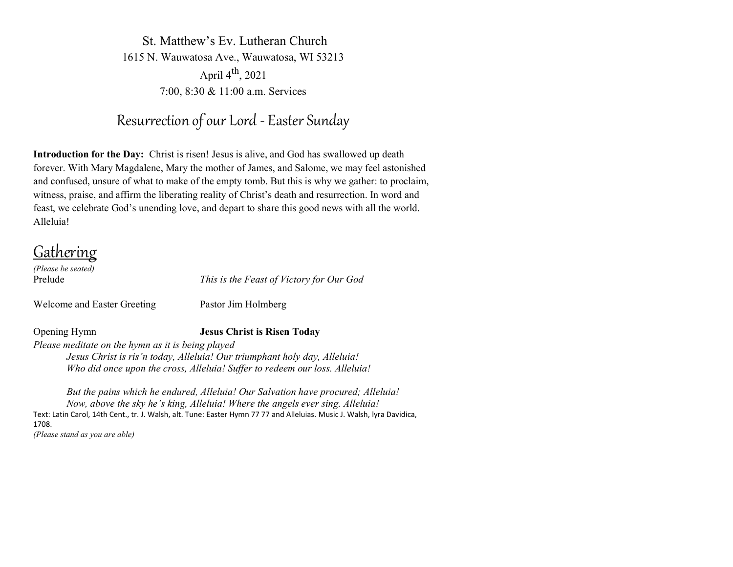St. Matthew's Ev. Lutheran Church 1615 N. Wauwatosa Ave., Wauwatosa, WI 53213 April 4<sup>th</sup>, 2021 7:00, 8:30 & 11:00 a.m. Services

# Resurrection of our Lord - Easter Sunday

**Introduction for the Day:** Christ is risen! Jesus is alive, and God has swallowed up death forever. With Mary Magdalene, Mary the mother of James, and Salome, we may feel astonished and confused, unsure of what to make of the empty tomb. But this is why we gather: to proclaim, witness, praise, and affirm the liberating reality of Christ's death and resurrection. In word and feast, we celebrate God's unending love, and depart to share this good news with all the world. Alleluia!

Gathering

*(Please be seated)* 

Welcome and Easter Greeting Pastor Jim Holmberg

Prelude *This is the Feast of Victory for Our God*

# Opening Hymn **Jesus Christ is Risen Today**

*Please meditate on the hymn as it is being played Jesus Christ is ris'n today, Alleluia! Our triumphant holy day, Alleluia! Who did once upon the cross, Alleluia! Suffer to redeem our loss. Alleluia!*

*But the pains which he endured, Alleluia! Our Salvation have procured; Alleluia! Now, above the sky he's king, Alleluia! Where the angels ever sing. Alleluia!* Text: Latin Carol, 14th Cent., tr. J. Walsh, alt. Tune: Easter Hymn 77 77 and Alleluias. Music J. Walsh, lyra Davidica, 1708.

*(Please stand as you are able)*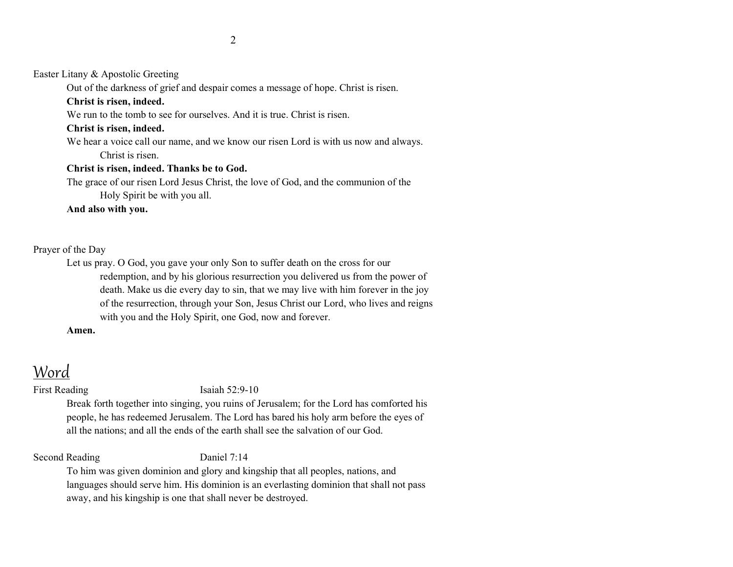Easter Litany & Apostolic Greeting

Out of the darkness of grief and despair comes a message of hope. Christ is risen.

### **Christ is risen, indeed.**

We run to the tomb to see for ourselves. And it is true. Christ is risen.

### **Christ is risen, indeed.**

We hear a voice call our name, and we know our risen Lord is with us now and always. Christ is risen.

## **Christ is risen, indeed. Thanks be to God.**

The grace of our risen Lord Jesus Christ, the love of God, and the communion of the Holy Spirit be with you all.

# **And also with you.**

# Prayer of the Day

Let us pray. O God, you gave your only Son to suffer death on the cross for our redemption, and by his glorious resurrection you delivered us from the power of death. Make us die every day to sin, that we may live with him forever in the joy of the resurrection, through your Son, Jesus Christ our Lord, who lives and reigns with you and the Holy Spirit, one God, now and forever.

# **Amen.**

# Word

### First Reading Isaiah 52:9-10

Break forth together into singing, you ruins of Jerusalem; for the Lord has comforted his people, he has redeemed Jerusalem. The Lord has bared his holy arm before the eyes of all the nations; and all the ends of the earth shall see the salvation of our God.

Second Reading Daniel 7:14

To him was given dominion and glory and kingship that all peoples, nations, and languages should serve him. His dominion is an everlasting dominion that shall not pass away, and his kingship is one that shall never be destroyed.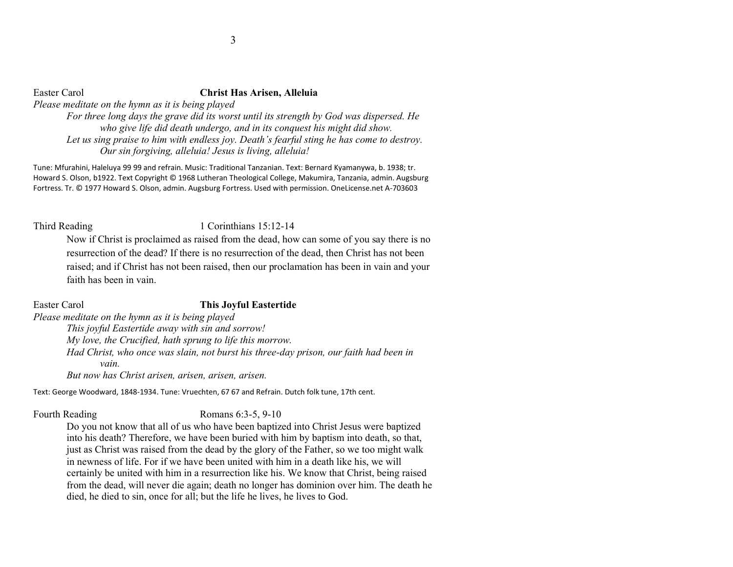*who give life did death undergo, and in its conquest his might did show. Let us sing praise to him with endless joy. Death's fearful sting he has come to destroy. Our sin forgiving, alleluia! Jesus is living, alleluia!*

Tune: Mfurahini, Haleluya 99 99 and refrain. Music: Traditional Tanzanian. Text: Bernard Kyamanywa, b. 1938; tr. Howard S. Olson, b1922. Text Copyright © 1968 Lutheran Theological College, Makumira, Tanzania, admin. Augsburg Fortress. Tr. © 1977 Howard S. Olson, admin. Augsburg Fortress. Used with permission. OneLicense.net A-703603

# Third Reading 1 Corinthians 15:12-14

Now if Christ is proclaimed as raised from the dead, how can some of you say there is no resurrection of the dead? If there is no resurrection of the dead, then Christ has not been raised; and if Christ has not been raised, then our proclamation has been in vain and your faith has been in vain.

### Easter Carol **This Joyful Eastertide**

*Please meditate on the hymn as it is being played*

*This joyful Eastertide away with sin and sorrow! My love, the Crucified, hath sprung to life this morrow. Had Christ, who once was slain, not burst his three-day prison, our faith had been in vain.* 

*But now has Christ arisen, arisen, arisen, arisen.*

Text: George Woodward, 1848-1934. Tune: Vruechten, 67 67 and Refrain. Dutch folk tune, 17th cent.

# Fourth Reading Romans 6:3-5, 9-10

Do you not know that all of us who have been baptized into Christ Jesus were baptized into his death? Therefore, we have been buried with him by baptism into death, so that, just as Christ was raised from the dead by the glory of the Father, so we too might walk in newness of life. For if we have been united with him in a death like his, we will certainly be united with him in a resurrection like his. We know that Christ, being raised from the dead, will never die again; death no longer has dominion over him. The death he died, he died to sin, once for all; but the life he lives, he lives to God.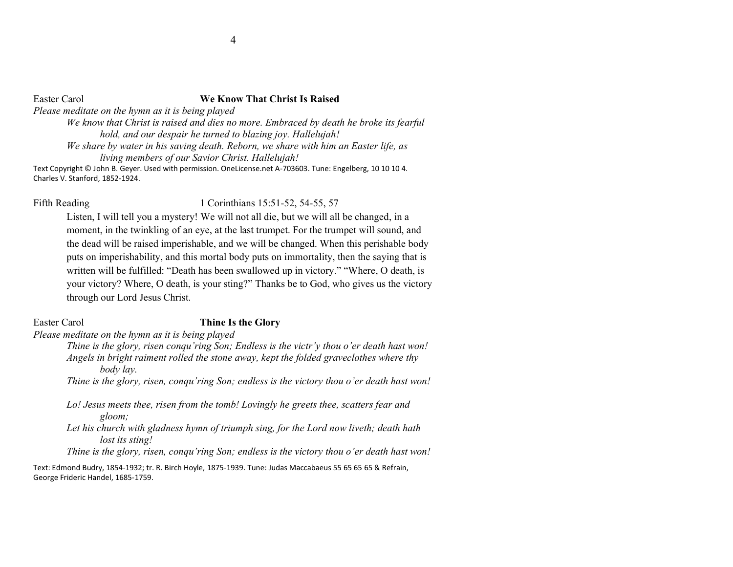### Easter Carol **We Know That Christ Is Raised**

*Please meditate on the hymn as it is being played*

*We know that Christ is raised and dies no more. Embraced by death he broke its fearful hold, and our despair he turned to blazing joy. Hallelujah!*

*We share by water in his saving death. Reborn, we share with him an Easter life, as living members of our Savior Christ. Hallelujah!*

Text Copyright © John B. Geyer. Used with permission. OneLicense.net A-703603. Tune: Engelberg, 10 10 10 4. Charles V. Stanford, 1852-1924.

### Fifth Reading 1 Corinthians 15:51-52, 54-55, 57

Listen, I will tell you a mystery! We will not all die, but we will all be changed, in a moment, in the twinkling of an eye, at the last trumpet. For the trumpet will sound, and the dead will be raised imperishable, and we will be changed. When this perishable body puts on imperishability, and this mortal body puts on immortality, then the saying that is written will be fulfilled: "Death has been swallowed up in victory." "Where, O death, is your victory? Where, O death, is your sting?" Thanks be to God, who gives us the victory through our Lord Jesus Christ.

# Easter Carol **Thine Is the Glory**

*Please meditate on the hymn as it is being played*

*Thine is the glory, risen conqu'ring Son; Endless is the victr'y thou o'er death hast won! Angels in bright raiment rolled the stone away, kept the folded graveclothes where thy body lay.*

*Thine is the glory, risen, conqu'ring Son; endless is the victory thou o'er death hast won!*

*Lo! Jesus meets thee, risen from the tomb! Lovingly he greets thee, scatters fear and gloom; Let his church with gladness hymn of triumph sing, for the Lord now liveth; death hath lost its sting! Thine is the glory, risen, conqu'ring Son; endless is the victory thou o'er death hast won!*

Text: Edmond Budry, 1854-1932; tr. R. Birch Hoyle, 1875-1939. Tune: Judas Maccabaeus 55 65 65 65 & Refrain, George Frideric Handel, 1685-1759.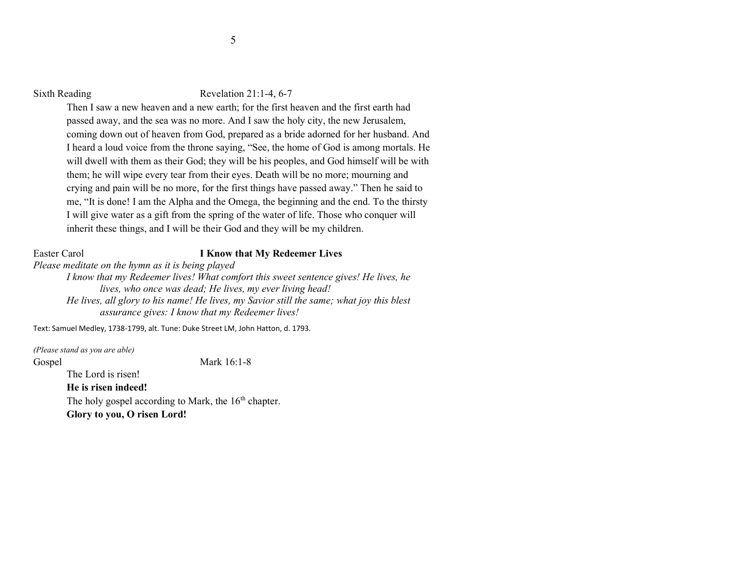### Sixth Reading Revelation 21:1-4, 6-7

Then I saw a new heaven and a new earth; for the first heaven and the first earth had passed away, and the sea was no more. And I saw the holy city, the new Jerusalem, coming down out of heaven from God, prepared as a bride adorned for her husband. And I heard a loud voice from the throne saying, "See, the home of God is among mortals. He will dwell with them as their God; they will be his peoples, and God himself will be with them; he will wipe every tear from their eyes. Death will be no more; mourning and crying and pain will be no more, for the first things have passed away." Then he said to me, "It is done! I am the Alpha and the Omega, the beginning and the end. To the thirsty I will give water as a gift from the spring of the water of life. Those who conquer will inherit these things, and I will be their God and they will be my children.

## Easter Carol **I Know that My Redeemer Lives**

*Please meditate on the hymn as it is being played*

*I know that my Redeemer lives! What comfort this sweet sentence gives! He lives, he lives, who once was dead; He lives, my ever living head! He lives, all glory to his name! He lives, my Savior still the same; what joy this blest assurance gives: I know that my Redeemer lives!*

Text: Samuel Medley, 1738-1799, alt. Tune: Duke Street LM, John Hatton, d. 1793.

*(Please stand as you are able)*  Gospel Mark 16:1-8 The Lord is risen! **He is risen indeed!** The holy gospel according to Mark, the  $16<sup>th</sup>$  chapter. **Glory to you, O risen Lord!**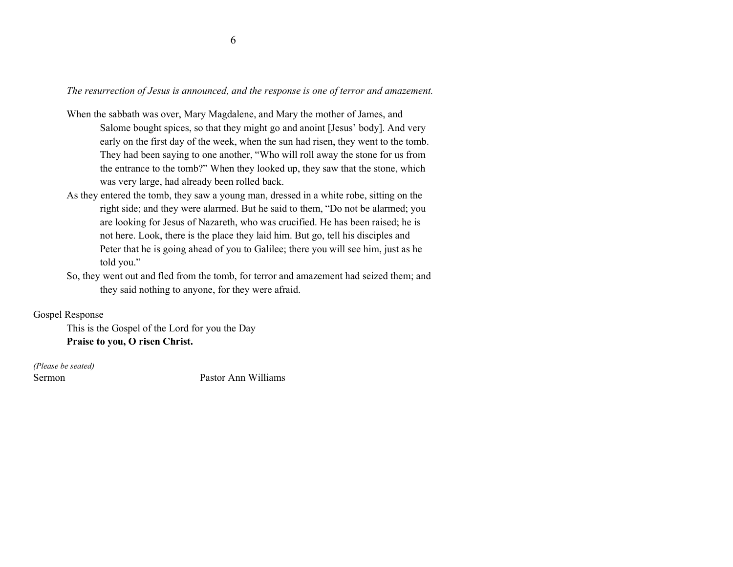*The resurrection of Jesus is announced, and the response is one of terror and amazement.*

- When the sabbath was over, Mary Magdalene, and Mary the mother of James, and Salome bought spices, so that they might go and anoint [Jesus' body]. And very early on the first day of the week, when the sun had risen, they went to the tomb. They had been saying to one another, "Who will roll away the stone for us from the entrance to the tomb?" When they looked up, they saw that the stone, which was very large, had already been rolled back.
- As they entered the tomb, they saw a young man, dressed in a white robe, sitting on the right side; and they were alarmed. But he said to them, "Do not be alarmed; you are looking for Jesus of Nazareth, who was crucified. He has been raised; he is not here. Look, there is the place they laid him. But go, tell his disciples and Peter that he is going ahead of you to Galilee; there you will see him, just as he told you."
- So, they went out and fled from the tomb, for terror and amazement had seized them; and they said nothing to anyone, for they were afraid.

# Gospel Response

This is the Gospel of the Lord for you the Day **Praise to you, O risen Christ.**

*(Please be seated)* 

Sermon Pastor Ann Williams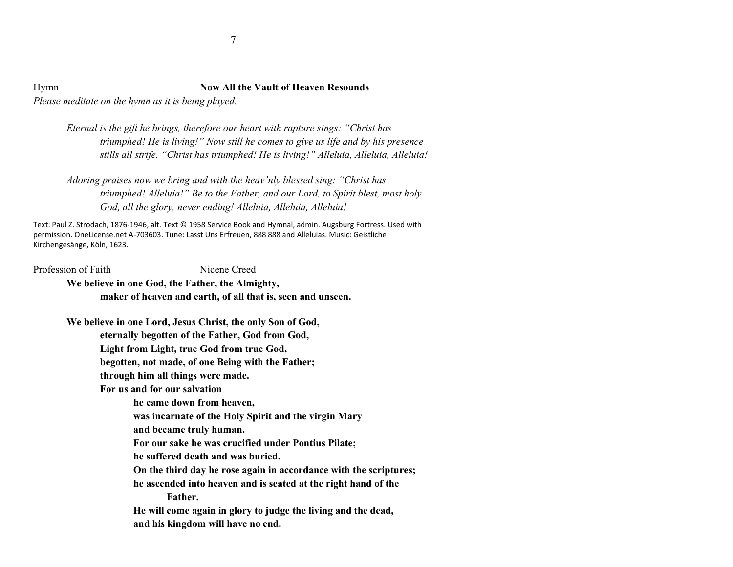Hymn **Now All the Vault of Heaven Resounds** *Please meditate on the hymn as it is being played.*

> *Eternal is the gift he brings, therefore our heart with rapture sings: "Christ has triumphed! He is living!" Now still he comes to give us life and by his presence stills all strife. "Christ has triumphed! He is living!" Alleluia, Alleluia, Alleluia!*

*Adoring praises now we bring and with the heav'nly blessed sing: "Christ has triumphed! Alleluia!" Be to the Father, and our Lord, to Spirit blest, most holy God, all the glory, never ending! Alleluia, Alleluia, Alleluia!*

Text: Paul Z. Strodach, 1876-1946, alt. Text © 1958 Service Book and Hymnal, admin. Augsburg Fortress. Used with permission. OneLicense.net A-703603. Tune: Lasst Uns Erfreuen, 888 888 and Alleluias. Music: Geistliche Kirchengesänge, Köln, 1623.

Profession of Faith Nicene Creed **We believe in one God, the Father, the Almighty, maker of heaven and earth, of all that is, seen and unseen.**

> **We believe in one Lord, Jesus Christ, the only Son of God, eternally begotten of the Father, God from God, Light from Light, true God from true God, begotten, not made, of one Being with the Father; through him all things were made. For us and for our salvation**

**he came down from heaven,** 

- **was incarnate of the Holy Spirit and the virgin Mary**
- **and became truly human.**
- **For our sake he was crucified under Pontius Pilate;**
- **he suffered death and was buried.**
- **On the third day he rose again in accordance with the scriptures;**

**he ascended into heaven and is seated at the right hand of the Father.** 

**He will come again in glory to judge the living and the dead, and his kingdom will have no end.**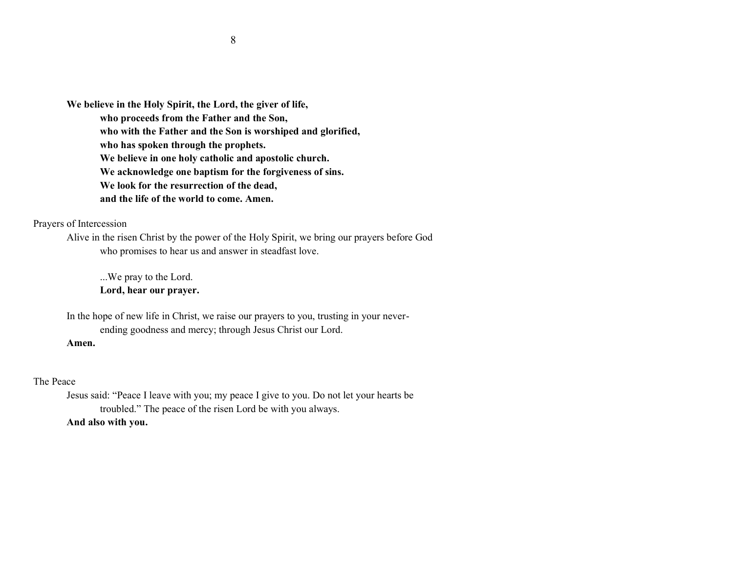**We believe in the Holy Spirit, the Lord, the giver of life, who proceeds from the Father and the Son, who with the Father and the Son is worshiped and glorified, who has spoken through the prophets. We believe in one holy catholic and apostolic church. We acknowledge one baptism for the forgiveness of sins. We look for the resurrection of the dead, and the life of the world to come. Amen.**

### Prayers of Intercession

Alive in the risen Christ by the power of the Holy Spirit, we bring our prayers before God who promises to hear us and answer in steadfast love.

...We pray to the Lord. **Lord, hear our prayer.**

In the hope of new life in Christ, we raise our prayers to you, trusting in your neverending goodness and mercy; through Jesus Christ our Lord.

### **Amen.**

### The Peace

Jesus said: "Peace I leave with you; my peace I give to you. Do not let your hearts be troubled." The peace of the risen Lord be with you always. **And also with you.**